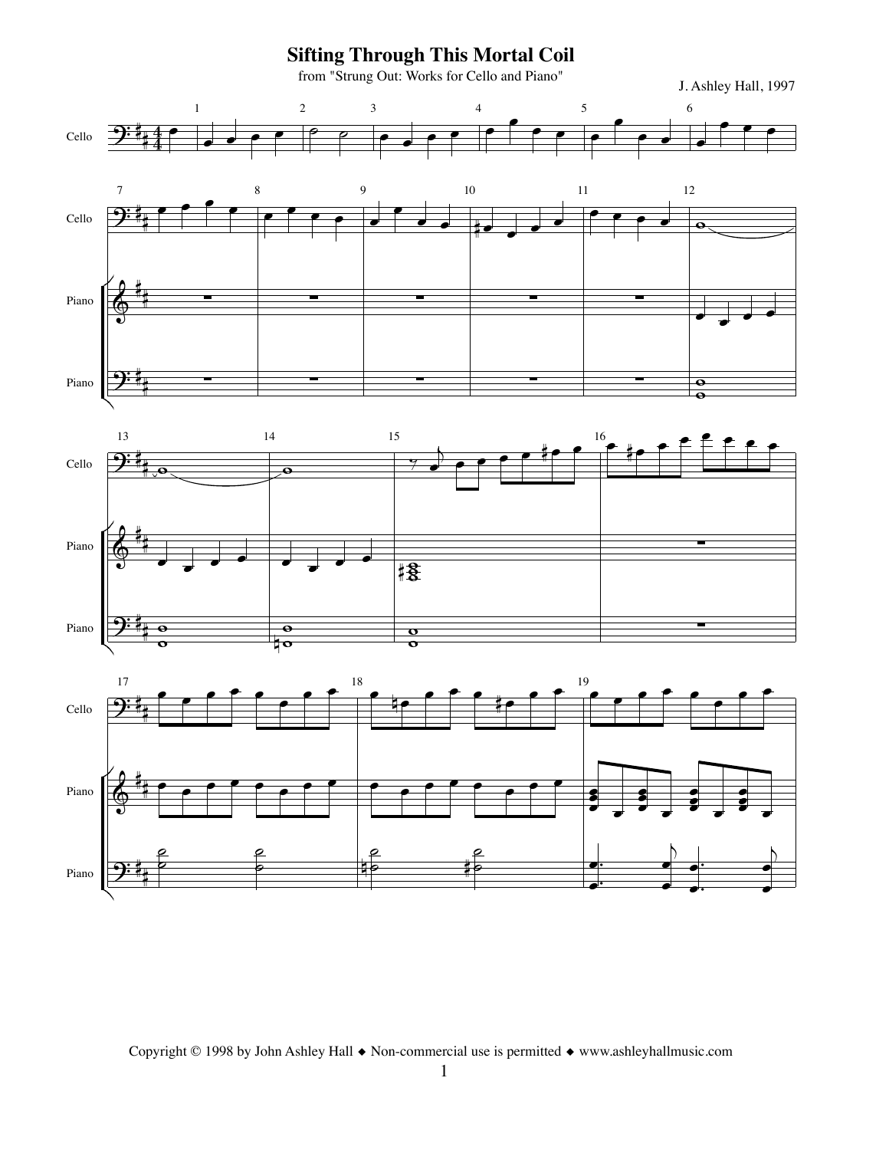**Sifting Through This Mortal Coil** from "Strung Out: Works for Cello and Piano" J. Ashley Hall, 1997 Cello l<br>I  $\overline{\mathbf{4}}$  $\begin{array}{c|c} & & & 1 \\ \hline 4 & & & \\ \hline 4 & & & \end{array}$  $\overrightarrow{ }$  .  $\overline{\phantom{a}}$   $\overline{\phantom{a}}$ . . . . <sup>4</sup>  $\bullet$   $\bullet$   $\bullet$   $\bullet$  $\cdot$  . 6  $\begin{array}{|c|c|c|c|c|}\hline \rule{0pt}{12pt}\quad \bullet & \bullet & \bullet \ \hline \rule{0pt}{12pt}\quad \bullet & \bullet & \bullet \ \hline \end{array}$ Cello 7  $9:5$  $\begin{array}{c} \bullet \end{array}$  . . . . . 9  $\overrightarrow{\cdot}$  . 10 Q. . . . 11  $\cdot$  . . 12  $\overline{\mathbf{e}}$ Cello 13  $9:5$  $\frac{4}{10}$ 14  $\overline{\bullet}$ 15  $\frac{9}{2}$ ! . . . . Q. . <sup>16</sup>. Q. . . . . . . Cello 17  $2:1$ l<br>I . . . . . . . . <sup>18</sup> . P. . . . Q. . . <sup>19</sup>. . . . . . . . Piano <sup>Q</sup> . . . . Piano  $\frac{1}{1}$ . . . . . . . . ,Q,  $\overline{18}$ Piano Q . . . . . . . . . . . . . . . . **.**<br> $\bullet$ **.<br>.**  $: .$ .  $: \cdot$  : **.**<br>8  $: \cdot$  : **.**<br>8 . . Piano Q ,  $\overline{\bullet}$ Piano  $\frac{1}{\sqrt{2}}$  $\begin{matrix} 0 & 0 \ 0 & 0 \end{matrix}$  $\begin{array}{c|c} \circ & \circ \\ \circ & \circ \end{array}$  $\frac{\sigma}{\sigma}$ Piano  $\frac{1}{2}$  $\begin{matrix} 2 & 2 \\ 2 & 2 \end{matrix}$ e e<br>0 40  $\begin{matrix} 2 & 2 \\ 9 & 10 \end{matrix}$  $\frac{2}{\pi}$  $\overline{\phantom{a}}$ .# . . |<br>|  $\bullet$  $\overline{\phantom{a}}$ . .  $\overline{b}$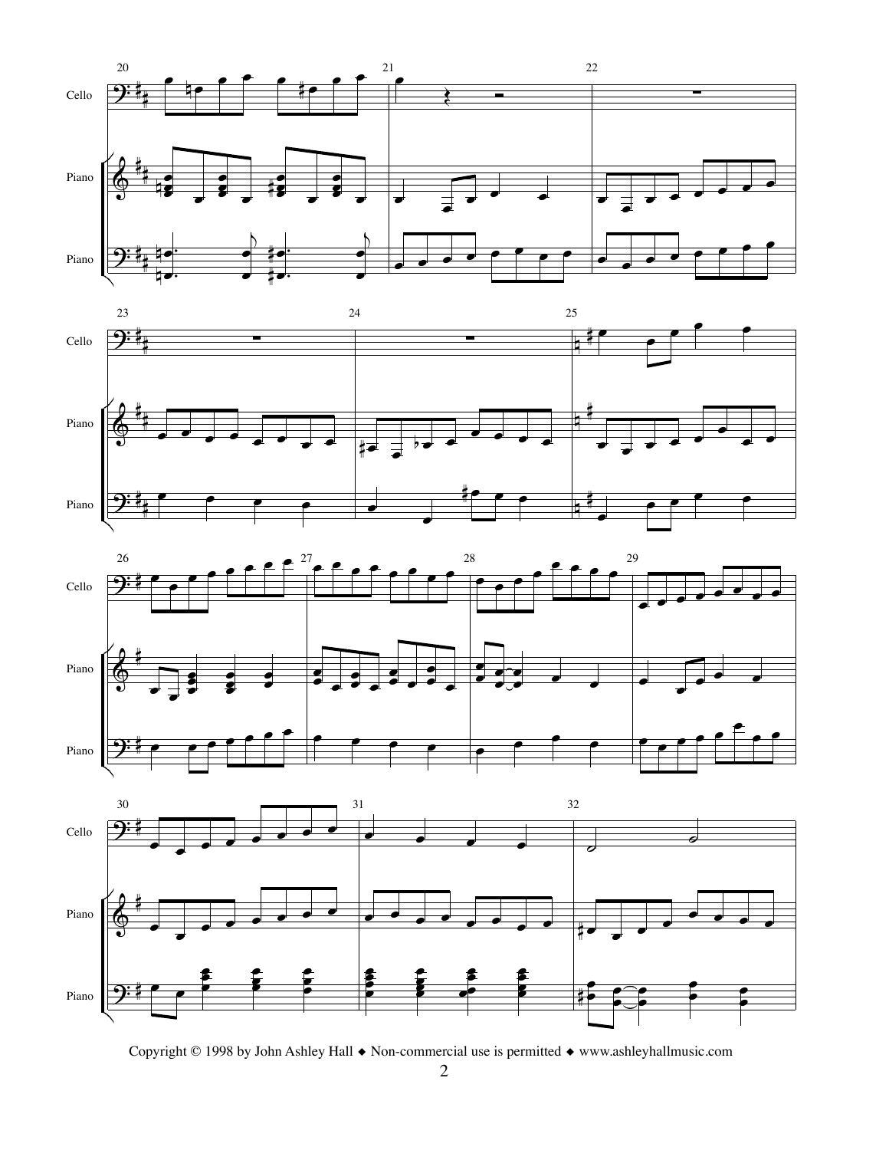







Copyright © 1998 by John Ashley Hall ◆ Non-commercial use is permitted ◆ www.ashleyhallmusic.com

2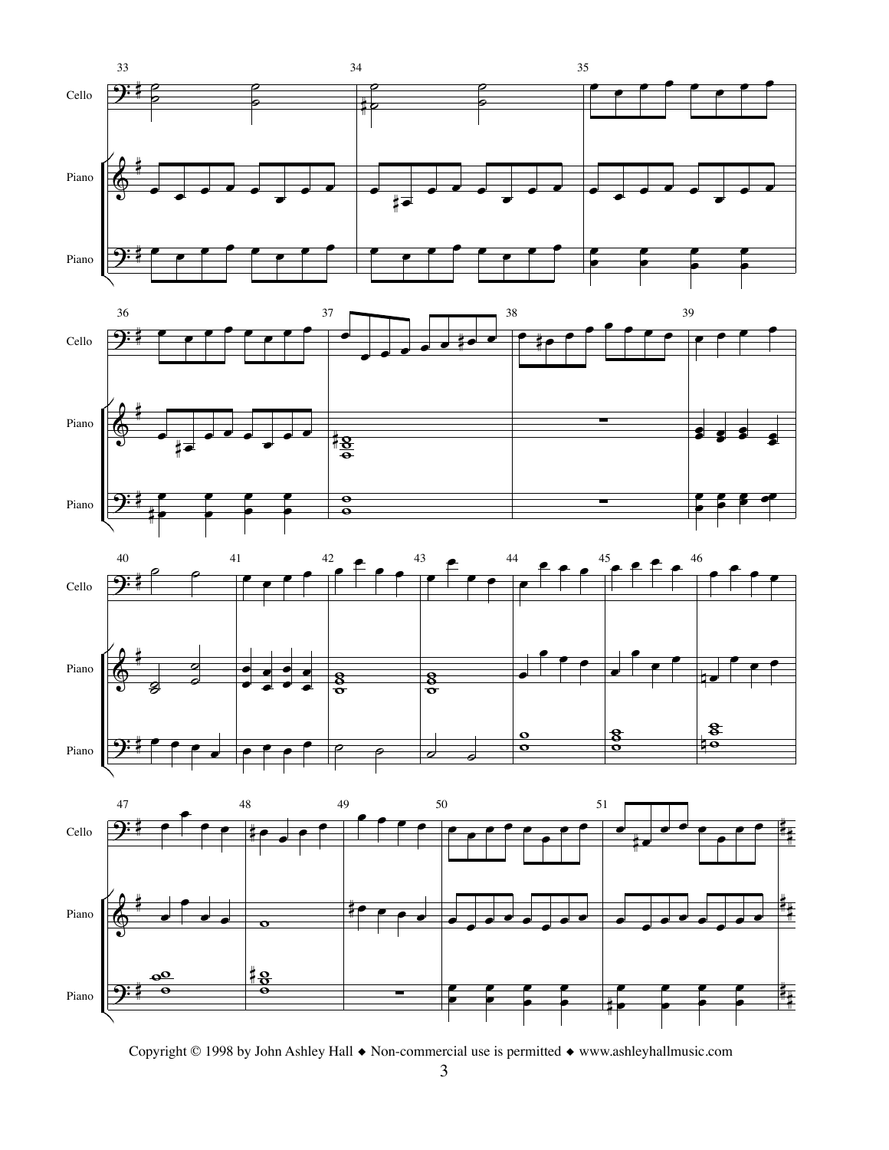

Copyright © 1998 by John Ashley Hall ◆ Non-commercial use is permitted ◆ www.ashleyhallmusic.com